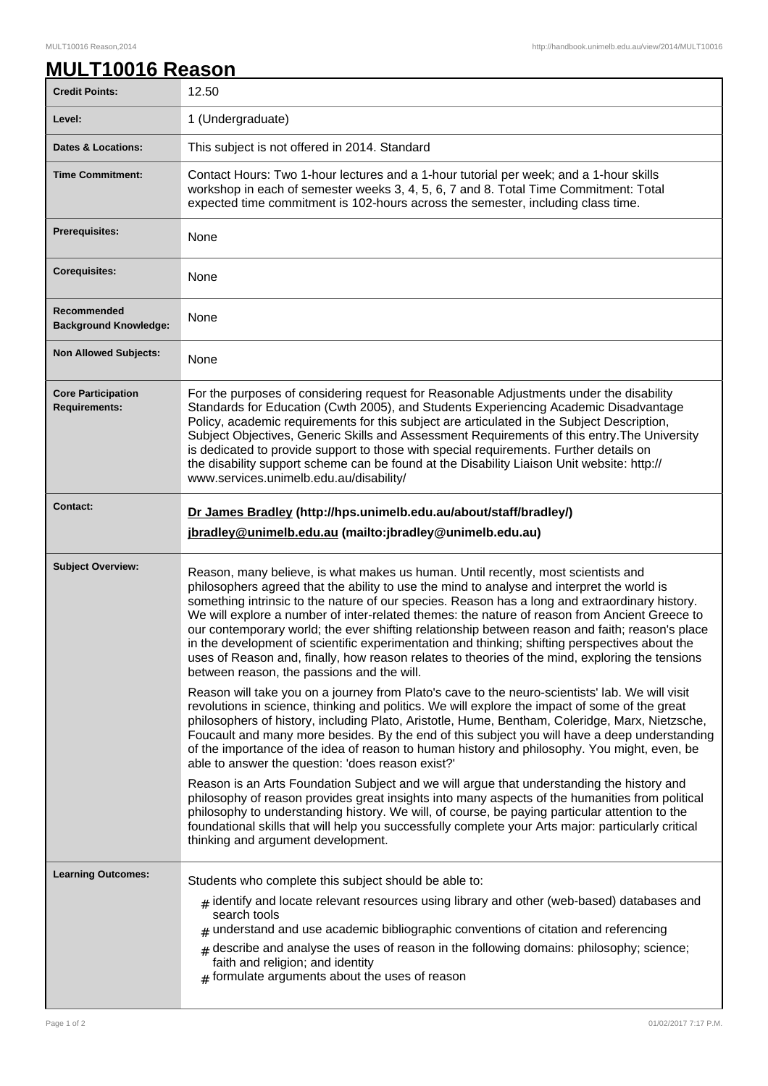## **MULT10016 Reason**

| <b>Credit Points:</b>                             | 12.50                                                                                                                                                                                                                                                                                                                                                                                                                                                                                                                                                                                                                                                                                                                                    |
|---------------------------------------------------|------------------------------------------------------------------------------------------------------------------------------------------------------------------------------------------------------------------------------------------------------------------------------------------------------------------------------------------------------------------------------------------------------------------------------------------------------------------------------------------------------------------------------------------------------------------------------------------------------------------------------------------------------------------------------------------------------------------------------------------|
| Level:                                            | 1 (Undergraduate)                                                                                                                                                                                                                                                                                                                                                                                                                                                                                                                                                                                                                                                                                                                        |
| <b>Dates &amp; Locations:</b>                     | This subject is not offered in 2014. Standard                                                                                                                                                                                                                                                                                                                                                                                                                                                                                                                                                                                                                                                                                            |
| <b>Time Commitment:</b>                           | Contact Hours: Two 1-hour lectures and a 1-hour tutorial per week; and a 1-hour skills<br>workshop in each of semester weeks 3, 4, 5, 6, 7 and 8. Total Time Commitment: Total<br>expected time commitment is 102-hours across the semester, including class time.                                                                                                                                                                                                                                                                                                                                                                                                                                                                       |
| <b>Prerequisites:</b>                             | None                                                                                                                                                                                                                                                                                                                                                                                                                                                                                                                                                                                                                                                                                                                                     |
| <b>Corequisites:</b>                              | None                                                                                                                                                                                                                                                                                                                                                                                                                                                                                                                                                                                                                                                                                                                                     |
| Recommended<br><b>Background Knowledge:</b>       | None                                                                                                                                                                                                                                                                                                                                                                                                                                                                                                                                                                                                                                                                                                                                     |
| <b>Non Allowed Subjects:</b>                      | None                                                                                                                                                                                                                                                                                                                                                                                                                                                                                                                                                                                                                                                                                                                                     |
| <b>Core Participation</b><br><b>Requirements:</b> | For the purposes of considering request for Reasonable Adjustments under the disability<br>Standards for Education (Cwth 2005), and Students Experiencing Academic Disadvantage<br>Policy, academic requirements for this subject are articulated in the Subject Description,<br>Subject Objectives, Generic Skills and Assessment Requirements of this entry. The University<br>is dedicated to provide support to those with special requirements. Further details on<br>the disability support scheme can be found at the Disability Liaison Unit website: http://<br>www.services.unimelb.edu.au/disability/                                                                                                                         |
| <b>Contact:</b>                                   | Dr James Bradley (http://hps.unimelb.edu.au/about/staff/bradley/)<br>jbradley@unimelb.edu.au (mailto: jbradley@unimelb.edu.au)                                                                                                                                                                                                                                                                                                                                                                                                                                                                                                                                                                                                           |
| <b>Subject Overview:</b>                          | Reason, many believe, is what makes us human. Until recently, most scientists and<br>philosophers agreed that the ability to use the mind to analyse and interpret the world is<br>something intrinsic to the nature of our species. Reason has a long and extraordinary history.<br>We will explore a number of inter-related themes: the nature of reason from Ancient Greece to<br>our contemporary world; the ever shifting relationship between reason and faith; reason's place<br>in the development of scientific experimentation and thinking; shifting perspectives about the<br>uses of Reason and, finally, how reason relates to theories of the mind, exploring the tensions<br>between reason, the passions and the will. |
|                                                   | Reason will take you on a journey from Plato's cave to the neuro-scientists' lab. We will visit<br>revolutions in science, thinking and politics. We will explore the impact of some of the great<br>philosophers of history, including Plato, Aristotle, Hume, Bentham, Coleridge, Marx, Nietzsche,<br>Foucault and many more besides. By the end of this subject you will have a deep understanding<br>of the importance of the idea of reason to human history and philosophy. You might, even, be<br>able to answer the question: 'does reason exist?'                                                                                                                                                                               |
|                                                   | Reason is an Arts Foundation Subject and we will argue that understanding the history and<br>philosophy of reason provides great insights into many aspects of the humanities from political<br>philosophy to understanding history. We will, of course, be paying particular attention to the<br>foundational skills that will help you successfully complete your Arts major: particularly critical<br>thinking and argument development.                                                                                                                                                                                                                                                                                              |
| <b>Learning Outcomes:</b>                         | Students who complete this subject should be able to:                                                                                                                                                                                                                                                                                                                                                                                                                                                                                                                                                                                                                                                                                    |
|                                                   | $_{\rm H}$ identify and locate relevant resources using library and other (web-based) databases and<br>search tools                                                                                                                                                                                                                                                                                                                                                                                                                                                                                                                                                                                                                      |
|                                                   | $#$ understand and use academic bibliographic conventions of citation and referencing<br>$#$ describe and analyse the uses of reason in the following domains: philosophy; science;<br>faith and religion; and identity<br>$#$ formulate arguments about the uses of reason                                                                                                                                                                                                                                                                                                                                                                                                                                                              |